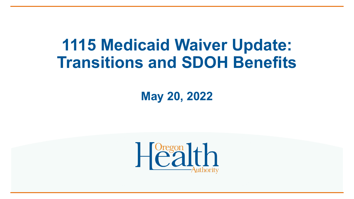# **1115 Medicaid Waiver Update: Transitions and SDOH Benefits**

**May 20, 2022**

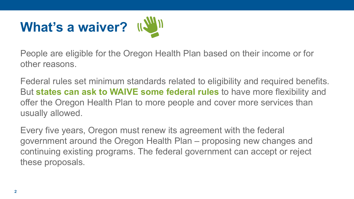

People are eligible for the Oregon Health Plan based on their income or for other reasons.

Federal rules set minimum standards related to eligibility and required benefits. But **states can ask to WAIVE some federal rules** to have more flexibility and offer the Oregon Health Plan to more people and cover more services than usually allowed.

Every five years, Oregon must renew its agreement with the federal government around the Oregon Health Plan – proposing new changes and continuing existing programs. The federal government can accept or reject these proposals.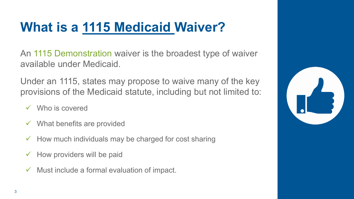### **What is a 1115 Medicaid Waiver?**

An 1115 Demonstration waiver is the broadest type of waiver available under Medicaid.

Under an 1115, states may propose to waive many of the key provisions of the Medicaid statute, including but not limited to:

- Who is covered
- $\checkmark$  What benefits are provided
- $\checkmark$  How much individuals may be charged for cost sharing
- $\checkmark$  How providers will be paid
- $\checkmark$  Must include a formal evaluation of impact.

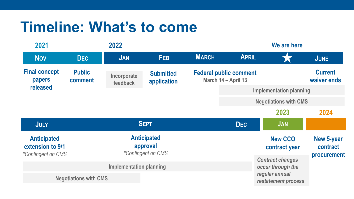### **Timeline: What's to come**

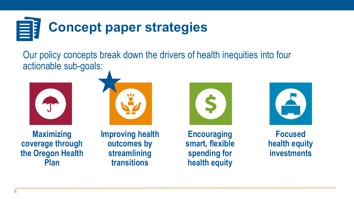

Our policy concepts break down the drivers of health inequities into four actionable sub-goals:







**Improving health outcomes by streamlining transitions**







**Focused health equity investments**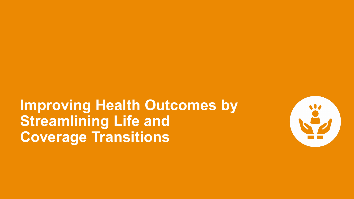

## **Improving Health Outcomes by Streamlining Life and Coverage Transitions**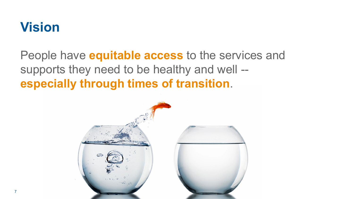#### **Vision**

People have **equitable access** to the services and supports they need to be healthy and well - **especially through times of transition**.

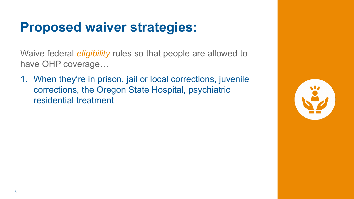Waive federal *eligibility* rules so that people are allowed to have OHP coverage…

1. When they're in prison, jail or local corrections, juvenile corrections, the Oregon State Hospital, psychiatric residential treatment

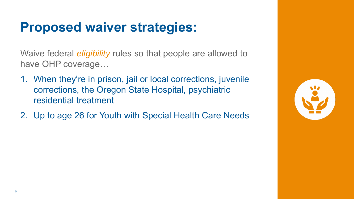Waive federal *eligibility* rules so that people are allowed to have OHP coverage…

- 1. When they're in prison, jail or local corrections, juvenile corrections, the Oregon State Hospital, psychiatric residential treatment
- 2. Up to age 26 for Youth with Special Health Care Needs

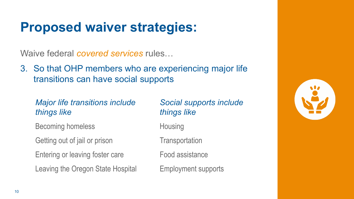Waive federal *covered services* rules…

3. So that OHP members who are experiencing major life transitions can have social supports

#### *Major life transitions include things like*

Becoming homeless

Getting out of jail or prison

Entering or leaving foster care

Leaving the Oregon State Hospital

#### *Social supports include things like*

**Housing** 

**Transportation** 

Food assistance

Employment supports

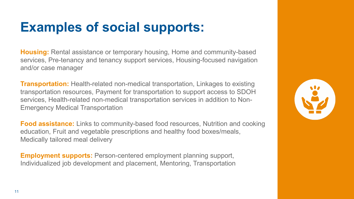### **Examples of social supports:**

**Housing:** Rental assistance or temporary housing, Home and community-based services, Pre-tenancy and tenancy support services, Housing-focused navigation and/or case manager

**Transportation:** Health-related non-medical transportation, Linkages to existing transportation resources, Payment for transportation to support access to SDOH services, Health-related non-medical transportation services in addition to Non-Emergency Medical Transportation

**Food assistance:** Links to community-based food resources, Nutrition and cooking education, Fruit and vegetable prescriptions and healthy food boxes/meals, Medically tailored meal delivery

**Employment supports:** Person-centered employment planning support, Individualized job development and placement, Mentoring, Transportation

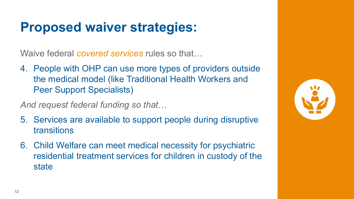Waive federal *covered services* rules so that…

4. People with OHP can use more types of providers outside the medical model (like Traditional Health Workers and Peer Support Specialists)

*And request federal funding so that*…

- 5. Services are available to support people during disruptive transitions
- 6. Child Welfare can meet medical necessity for psychiatric residential treatment services for children in custody of the state

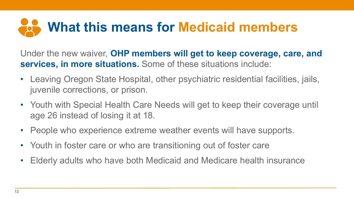# **What this means for Medicaid members**

Under the new waiver, **OHP members will get to keep coverage, care, and services, in more situations.** Some of these situations include:

- Leaving Oregon State Hospital, other psychiatric residential facilities, jails, juvenile corrections, or prison.
- Youth with Special Health Care Needs will get to keep their coverage until age 26 instead of losing it at 18.
- People who experience extreme weather events will have supports.
- Youth in foster care or who are transitioning out of foster care
- Elderly adults who have both Medicaid and Medicare health insurance